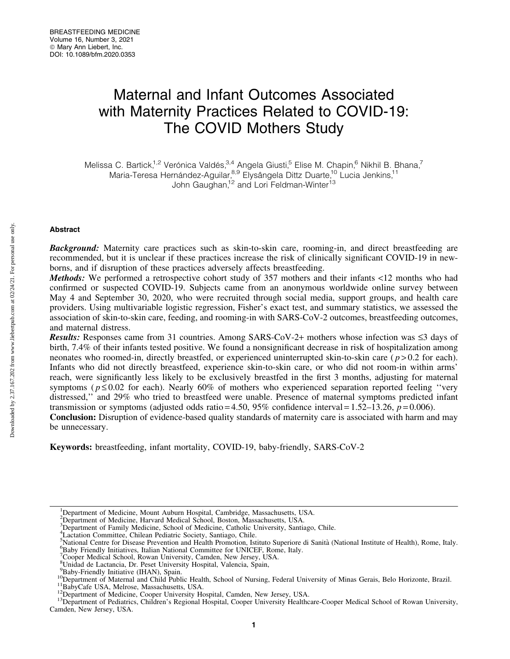# Maternal and Infant Outcomes Associated with Maternity Practices Related to COVID-19: The COVID Mothers Study

Melissa C. Bartick,<sup>1,2</sup> Verónica Valdés,<sup>3,4</sup> Angela Giusti,<sup>5</sup> Elise M. Chapin,<sup>6</sup> Nikhil B. Bhana,<sup>7</sup> Maria-Teresa Hernández-Aguilar,<sup>8,9</sup> Elysângela Dittz Duarte,<sup>10</sup> Lucia Jenkins,<sup>11</sup> John Gaughan,<sup>12</sup> and Lori Feldman-Winter<sup>13</sup>

# Abstract

Background: Maternity care practices such as skin-to-skin care, rooming-in, and direct breastfeeding are recommended, but it is unclear if these practices increase the risk of clinically significant COVID-19 in newborns, and if disruption of these practices adversely affects breastfeeding.

Methods: We performed a retrospective cohort study of 357 mothers and their infants <12 months who had confirmed or suspected COVID-19. Subjects came from an anonymous worldwide online survey between May 4 and September 30, 2020, who were recruited through social media, support groups, and health care providers. Using multivariable logistic regression, Fisher's exact test, and summary statistics, we assessed the association of skin-to-skin care, feeding, and rooming-in with SARS-CoV-2 outcomes, breastfeeding outcomes, and maternal distress.

**Results:** Responses came from 31 countries. Among SARS-CoV-2+ mothers whose infection was  $\leq$ 3 days of birth, 7.4% of their infants tested positive. We found a nonsignificant decrease in risk of hospitalization among neonates who roomed-in, directly breastfed, or experienced uninterrupted skin-to-skin care  $(p > 0.2$  for each). Infants who did not directly breastfeed, experience skin-to-skin care, or who did not room-in within arms' reach, were significantly less likely to be exclusively breastfed in the first 3 months, adjusting for maternal symptoms ( $p \le 0.02$  for each). Nearly 60% of mothers who experienced separation reported feeling "very" distressed,'' and 29% who tried to breastfeed were unable. Presence of maternal symptoms predicted infant transmission or symptoms (adjusted odds ratio = 4.50, 95% confidence interval =  $1.52-13.26$ ,  $p = 0.006$ ).

Conclusion: Disruption of evidence-based quality standards of maternity care is associated with harm and may be unnecessary.

Keywords: breastfeeding, infant mortality, COVID-19, baby-friendly, SARS-CoV-2

<sup>&</sup>lt;sup>1</sup>Department of Medicine, Mount Auburn Hospital, Cambridge, Massachusetts, USA.

<sup>&</sup>lt;sup>2</sup>Department of Medicine, Harvard Medical School, Boston, Massachusetts, USA.

<sup>&</sup>lt;sup>3</sup>Department of Family Medicine, School of Medicine, Catholic University, Santiago, Chile.

<sup>4</sup> Lactation Committee, Chilean Pediatric Society, Santiago, Chile.

<sup>&</sup>lt;sup>5</sup>National Centre for Disease Prevention and Health Promotion, Istituto Superiore di Sanità (National Institute of Health), Rome, Italy. <sup>6</sup>Reby Friendly Initiatives, Italian National Committee for UNICEE, Rome, Italy. <sup>6</sup>Baby Friendly Initiatives, Italian National Committee for UNICEF, Rome, Italy.

<sup>&</sup>lt;sup>7</sup>Cooper Medical School, Rowan University, Camden, New Jersey, USA.

<sup>8</sup> Unidad de Lactancia, Dr. Peset University Hospital, Valencia, Spain,

<sup>&</sup>lt;sup>9</sup>Baby-Friendly Initiative (IHAN), Spain.

To Department of Maternal and Child Public Health, School of Nursing, Federal University of Minas Gerais, Belo Horizonte, Brazil.<br><sup>11</sup>BabyCafe USA, Melrose, Massachusetts, USA.<br><sup>12</sup>Department of Medicine, Cooper University

Camden, New Jersey, USA.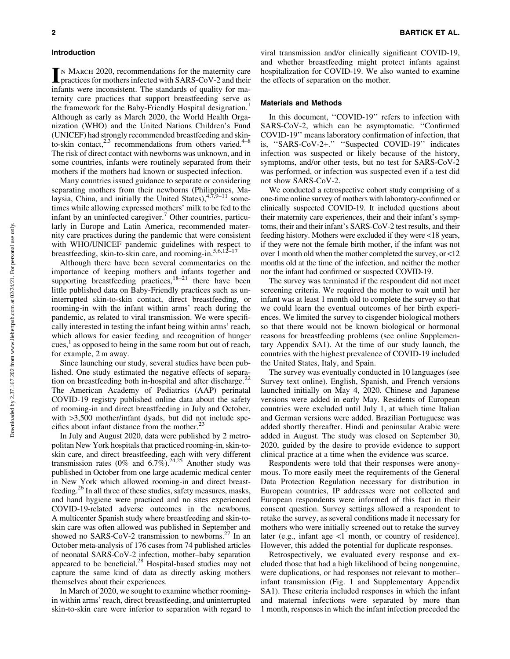IN MARCH 2020, recommendations for the maternity care<br>practices for mothers infected with SARS-CoV-2 and their infants were inconsistent. The standards of quality for maternity care practices that support breastfeeding serve as the framework for the Baby-Friendly Hospital designation.<sup>1</sup> Although as early as March 2020, the World Health Organization (WHO) and the United Nations Children's Fund (UNICEF) had strongly recommended breastfeeding and skinto-skin contact, $2,3$  recommendations from others varied.<sup>4–8</sup> The risk of direct contact with newborns was unknown, and in some countries, infants were routinely separated from their mothers if the mothers had known or suspected infection.

Many countries issued guidance to separate or considering separating mothers from their newborns (Philippines, Malaysia, China, and initially the United States),  $47,9-11$  sometimes while allowing expressed mothers' milk to be fed to the infant by an uninfected caregiver.<sup>7</sup> Other countries, particularly in Europe and Latin America, recommended maternity care practices during the pandemic that were consistent with WHO/UNICEF pandemic guidelines with respect to breastfeeding, skin-to-skin care, and rooming-in.<sup>5,6,12–17</sup>

Although there have been several commentaries on the importance of keeping mothers and infants together and supporting breastfeeding practices, $18-21$  there have been little published data on Baby-Friendly practices such as uninterrupted skin-to-skin contact, direct breastfeeding, or rooming-in with the infant within arms' reach during the pandemic, as related to viral transmission. We were specifically interested in testing the infant being within arms' reach, which allows for easier feeding and recognition of hunger cues, $\frac{1}{x}$  as opposed to being in the same room but out of reach, for example, 2 m away.

Since launching our study, several studies have been published. One study estimated the negative effects of separation on breastfeeding both in-hospital and after discharge.<sup>22</sup> The American Academy of Pediatrics (AAP) perinatal COVID-19 registry published online data about the safety of rooming-in and direct breastfeeding in July and October, with  $>3,500$  mother/infant dyads, but did not include specifics about infant distance from the mother. $^{23}$ 

In July and August 2020, data were published by 2 metropolitan New York hospitals that practiced rooming-in, skin-toskin care, and direct breastfeeding, each with very different transmission rates (0% and  $6.7\%$ ).<sup>24,25</sup> Another study was published in October from one large academic medical center in New York which allowed rooming-in and direct breastfeeding.26 In all three of these studies, safety measures, masks, and hand hygiene were practiced and no sites experienced COVID-19-related adverse outcomes in the newborns. A multicenter Spanish study where breastfeeding and skin-toskin care was often allowed was published in September and showed no SARS-CoV-2 transmission to newborns.<sup>27</sup> In an October meta-analysis of 176 cases from 74 published articles of neonatal SARS-CoV-2 infection, mother–baby separation appeared to be beneficial.<sup>28</sup> Hospital-based studies may not capture the same kind of data as directly asking mothers themselves about their experiences.

In March of 2020, we sought to examine whether roomingin within arms' reach, direct breastfeeding, and uninterrupted skin-to-skin care were inferior to separation with regard to viral transmission and/or clinically significant COVID-19, and whether breastfeeding might protect infants against hospitalization for COVID-19. We also wanted to examine the effects of separation on the mother.

#### Materials and Methods

In this document, ''COVID-19'' refers to infection with SARS-CoV-2, which can be asymptomatic. ''Confirmed COVID-19'' means laboratory confirmation of infection, that is, ''SARS-CoV-2+.'' ''Suspected COVID-19'' indicates infection was suspected or likely because of the history, symptoms, and/or other tests, but no test for SARS-CoV-2 was performed, or infection was suspected even if a test did not show SARS-CoV-2.

We conducted a retrospective cohort study comprising of a one-time online survey of mothers with laboratory-confirmed or clinically suspected COVID-19. It included questions about their maternity care experiences, their and their infant's symptoms, their and their infant's SARS-CoV-2 test results, and their feeding history. Mothers were excluded if they were <18 years, if they were not the female birth mother, if the infant was not over 1 month old when the mother completed the survey, or <12 months old at the time of the infection, and neither the mother nor the infant had confirmed or suspected COVID-19.

The survey was terminated if the respondent did not meet screening criteria. We required the mother to wait until her infant was at least 1 month old to complete the survey so that we could learn the eventual outcomes of her birth experiences. We limited the survey to cisgender biological mothers so that there would not be known biological or hormonal reasons for breastfeeding problems (see online Supplementary Appendix SA1). At the time of our study launch, the countries with the highest prevalence of COVID-19 included the United States, Italy, and Spain.

The survey was eventually conducted in 10 languages (see Survey text online). English, Spanish, and French versions launched initially on May 4, 2020. Chinese and Japanese versions were added in early May. Residents of European countries were excluded until July 1, at which time Italian and German versions were added. Brazilian Portuguese was added shortly thereafter. Hindi and peninsular Arabic were added in August. The study was closed on September 30, 2020, guided by the desire to provide evidence to support clinical practice at a time when the evidence was scarce.

Respondents were told that their responses were anonymous. To more easily meet the requirements of the General Data Protection Regulation necessary for distribution in European countries, IP addresses were not collected and European respondents were informed of this fact in their consent question. Survey settings allowed a respondent to retake the survey, as several conditions made it necessary for mothers who were initially screened out to retake the survey later (e.g., infant age <1 month, or country of residence). However, this added the potential for duplicate responses.

Retrospectively, we evaluated every response and excluded those that had a high likelihood of being nongenuine, were duplications, or had responses not relevant to mother– infant transmission (Fig. 1 and Supplementary Appendix SA1). These criteria included responses in which the infant and maternal infections were separated by more than 1 month, responses in which the infant infection preceded the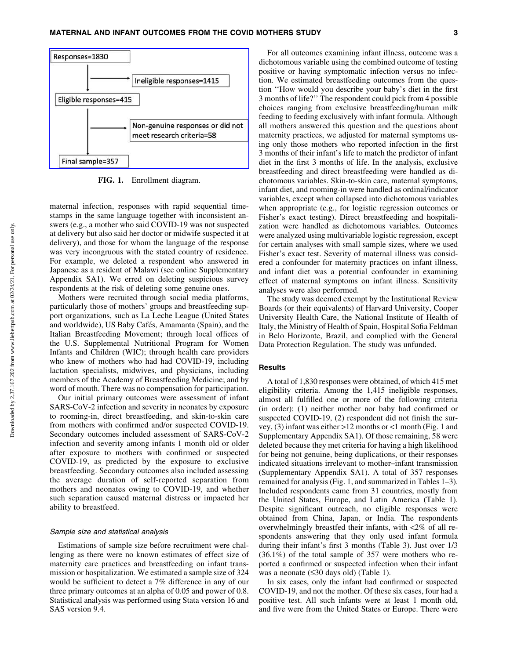

FIG. 1. Enrollment diagram.

maternal infection, responses with rapid sequential timestamps in the same language together with inconsistent answers (e.g., a mother who said COVID-19 was not suspected at delivery but also said her doctor or midwife suspected it at delivery), and those for whom the language of the response was very incongruous with the stated country of residence. For example, we deleted a respondent who answered in Japanese as a resident of Malawi (see online Supplementary Appendix SA1). We erred on deleting suspicious survey respondents at the risk of deleting some genuine ones.

Mothers were recruited through social media platforms, particularly those of mothers' groups and breastfeeding support organizations, such as La Leche League (United States and worldwide), US Baby Cafés, Amamanta (Spain), and the Italian Breastfeeding Movement; through local offices of the U.S. Supplemental Nutritional Program for Women Infants and Children (WIC); through health care providers who knew of mothers who had had COVID-19, including lactation specialists, midwives, and physicians, including members of the Academy of Breastfeeding Medicine; and by word of mouth. There was no compensation for participation.

Our initial primary outcomes were assessment of infant SARS-CoV-2 infection and severity in neonates by exposure to rooming-in, direct breastfeeding, and skin-to-skin care from mothers with confirmed and/or suspected COVID-19. Secondary outcomes included assessment of SARS-CoV-2 infection and severity among infants 1 month old or older after exposure to mothers with confirmed or suspected COVID-19, as predicted by the exposure to exclusive breastfeeding. Secondary outcomes also included assessing the average duration of self-reported separation from mothers and neonates owing to COVID-19, and whether such separation caused maternal distress or impacted her ability to breastfeed.

## Sample size and statistical analysis

Estimations of sample size before recruitment were challenging as there were no known estimates of effect size of maternity care practices and breastfeeding on infant transmission or hospitalization. We estimated a sample size of 324 would be sufficient to detect a 7% difference in any of our three primary outcomes at an alpha of 0.05 and power of 0.8. Statistical analysis was performed using Stata version 16 and SAS version 9.4.

For all outcomes examining infant illness, outcome was a dichotomous variable using the combined outcome of testing positive or having symptomatic infection versus no infection. We estimated breastfeeding outcomes from the question ''How would you describe your baby's diet in the first 3 months of life?'' The respondent could pick from 4 possible choices ranging from exclusive breastfeeding/human milk feeding to feeding exclusively with infant formula. Although all mothers answered this question and the questions about maternity practices, we adjusted for maternal symptoms using only those mothers who reported infection in the first 3 months of their infant's life to match the predictor of infant diet in the first 3 months of life. In the analysis, exclusive breastfeeding and direct breastfeeding were handled as dichotomous variables. Skin-to-skin care, maternal symptoms, infant diet, and rooming-in were handled as ordinal/indicator variables, except when collapsed into dichotomous variables when appropriate (e.g., for logistic regression outcomes or Fisher's exact testing). Direct breastfeeding and hospitalization were handled as dichotomous variables. Outcomes were analyzed using multivariable logistic regression, except for certain analyses with small sample sizes, where we used Fisher's exact test. Severity of maternal illness was considered a confounder for maternity practices on infant illness, and infant diet was a potential confounder in examining effect of maternal symptoms on infant illness. Sensitivity analyses were also performed.

The study was deemed exempt by the Institutional Review Boards (or their equivalents) of Harvard University, Cooper University Health Care, the National Institute of Health of Italy, the Ministry of Health of Spain, Hospital Sofia Feldman in Belo Horizonte, Brazil, and complied with the General Data Protection Regulation. The study was unfunded.

## **Results**

A total of 1,830 responses were obtained, of which 415 met eligibility criteria. Among the 1,415 ineligible responses, almost all fulfilled one or more of the following criteria (in order): (1) neither mother nor baby had confirmed or suspected COVID-19, (2) respondent did not finish the survey, (3) infant was either >12 months or <1 month (Fig. 1 and Supplementary Appendix SA1). Of those remaining, 58 were deleted because they met criteria for having a high likelihood for being not genuine, being duplications, or their responses indicated situations irrelevant to mother–infant transmission (Supplementary Appendix SA1). A total of 357 responses remained for analysis (Fig. 1, and summarized in Tables 1–3). Included respondents came from 31 countries, mostly from the United States, Europe, and Latin America (Table 1). Despite significant outreach, no eligible responses were obtained from China, Japan, or India. The respondents overwhelmingly breastfed their infants, with <2% of all respondents answering that they only used infant formula during their infant's first 3 months (Table 3). Just over 1/3 (36.1%) of the total sample of 357 were mothers who reported a confirmed or suspected infection when their infant was a neonate  $(\leq 30 \text{ days old})$  (Table 1).

In six cases, only the infant had confirmed or suspected COVID-19, and not the mother. Of these six cases, four had a positive test. All such infants were at least 1 month old, and five were from the United States or Europe. There were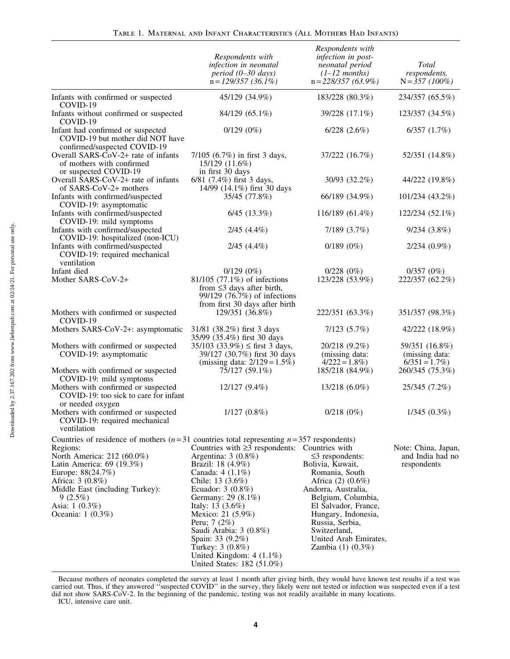|                                                                                                                                                                                                                                                                                                   | Respondents with<br>infection in neonatal<br>$period (0-30 days)$<br>$n = 129/357$ (36.1%)                                                                                                                                                                                                                                                        | Respondents with<br>infection in post-<br>neonatal period<br>$(1-12$ months)<br>$n = 228/357(63.9\%)$                                                                                                                                                         | Total<br>respondents,<br>$N = 357 (100\%)$             |
|---------------------------------------------------------------------------------------------------------------------------------------------------------------------------------------------------------------------------------------------------------------------------------------------------|---------------------------------------------------------------------------------------------------------------------------------------------------------------------------------------------------------------------------------------------------------------------------------------------------------------------------------------------------|---------------------------------------------------------------------------------------------------------------------------------------------------------------------------------------------------------------------------------------------------------------|--------------------------------------------------------|
| Infants with confirmed or suspected<br>COVID-19                                                                                                                                                                                                                                                   | 45/129 (34.9%)                                                                                                                                                                                                                                                                                                                                    | 183/228 (80.3%)                                                                                                                                                                                                                                               | 234/357 (65.5%)                                        |
| Infants without confirmed or suspected<br>COVID-19                                                                                                                                                                                                                                                | 84/129 (65.1%)                                                                                                                                                                                                                                                                                                                                    | 39/228 (17.1%)                                                                                                                                                                                                                                                | 123/357 (34.5%)                                        |
| Infant had confirmed or suspected<br>COVID-19 but mother did NOT have<br>confirmed/suspected COVID-19                                                                                                                                                                                             | $0/129(0\%)$                                                                                                                                                                                                                                                                                                                                      | $6/228$ $(2.6\%)$                                                                                                                                                                                                                                             | 6/357(1.7%)                                            |
| Overall SARS-CoV-2+ rate of infants<br>of mothers with confirmed<br>or suspected COVID-19                                                                                                                                                                                                         | 7/105 (6.7%) in first 3 days,<br>15/129 (11.6%)<br>in first 30 days                                                                                                                                                                                                                                                                               | 37/222 (16.7%)                                                                                                                                                                                                                                                | 52/351 (14.8%)                                         |
| Overall SARS-CoV-2+ rate of infants<br>of SARS-CoV-2+ mothers                                                                                                                                                                                                                                     | 6/81 (7.4%) first 3 days,<br>14/99 (14.1%) first 30 days                                                                                                                                                                                                                                                                                          | 30/93 (32.2%)                                                                                                                                                                                                                                                 | 44/222 (19.8%)                                         |
| Infants with confirmed/suspected<br>COVID-19: asymptomatic                                                                                                                                                                                                                                        | 35/45 (77.8%)                                                                                                                                                                                                                                                                                                                                     | 66/189 (34.9%)                                                                                                                                                                                                                                                | 101/234 (43.2%)                                        |
| Infants with confirmed/suspected<br>COVID-19: mild symptoms                                                                                                                                                                                                                                       | $6/45$ $(13.3\%)$                                                                                                                                                                                                                                                                                                                                 | 116/189 (61.4%)                                                                                                                                                                                                                                               | 122/234 (52.1%)                                        |
| Infants with confirmed/suspected<br>COVID-19: hospitalized (non-ICU)                                                                                                                                                                                                                              | $2/45$ $(4.4\%)$                                                                                                                                                                                                                                                                                                                                  | 7/189 (3.7%)                                                                                                                                                                                                                                                  | 9/234(3.8%)                                            |
| Infants with confirmed/suspected<br>COVID-19: required mechanical<br>ventilation                                                                                                                                                                                                                  | $2/45$ $(4.4\%)$                                                                                                                                                                                                                                                                                                                                  | $0/189(0\%)$                                                                                                                                                                                                                                                  | $2/234(0.9\%)$                                         |
| Infant died<br>Mother SARS-CoV-2+                                                                                                                                                                                                                                                                 | $0/129(0\%)$<br>81/105 (77.1%) of infections<br>from $\leq$ 3 days after birth,<br>99/129 (76.7%) of infections                                                                                                                                                                                                                                   | 0/228(0%)<br>123/228 (53.9%)                                                                                                                                                                                                                                  | $0/357(0\%)$<br>222/357 (62.2%)                        |
| Mothers with confirmed or suspected<br>COVID-19                                                                                                                                                                                                                                                   | from first 30 days after birth<br>129/351 (36.8%)                                                                                                                                                                                                                                                                                                 | 222/351 (63.3%)                                                                                                                                                                                                                                               | 351/357 (98.3%)                                        |
| Mothers SARS-CoV-2+: asymptomatic                                                                                                                                                                                                                                                                 | 31/81 (38.2%) first 3 days<br>35/99 (35.4%) first 30 days                                                                                                                                                                                                                                                                                         | 7/123(5.7%)                                                                                                                                                                                                                                                   | 42/222 (18.9%)                                         |
| Mothers with confirmed or suspected<br>COVID-19: asymptomatic                                                                                                                                                                                                                                     | $35/103$ (33.9%) $\le$ first 3 days,<br>39/127 (30.7%) first 30 days<br>(missing data: $2/129 = 1.5\%$ )                                                                                                                                                                                                                                          | 20/218 (9.2%)<br>(missing data:<br>$4/222 = 1.8\%)$                                                                                                                                                                                                           | 59/351 (16.8%)<br>(missing data:<br>$6/351 = 1.7\%)$   |
| Mothers with confirmed or suspected<br>COVID-19: mild symptoms                                                                                                                                                                                                                                    | 75/127 (59.1%)                                                                                                                                                                                                                                                                                                                                    | 185/218 (84.9%)                                                                                                                                                                                                                                               | 260/345 (75.3%)                                        |
| Mothers with confirmed or suspected<br>COVID-19: too sick to care for infant<br>or needed oxygen                                                                                                                                                                                                  | 12/127 (9.4%)                                                                                                                                                                                                                                                                                                                                     | 13/218 (6.0%)                                                                                                                                                                                                                                                 | 25/345 (7.2%)                                          |
| Mothers with confirmed or suspected<br>COVID-19: required mechanical<br>ventilation                                                                                                                                                                                                               | $1/127(0.8\%)$                                                                                                                                                                                                                                                                                                                                    | $0/218(0\%)$                                                                                                                                                                                                                                                  | 1/345(0.3%)                                            |
| Countries of residence of mothers $(n=31)$ countries total representing $n=357$ respondents)<br>Regions:<br>North America: 212 (60.0%)<br>Latin America: 69 (19.3%)<br>Europe: 88(24.7%)<br>Africa: 3 (0.8%)<br>Middle East (including Turkey):<br>9(2.5%)<br>Asia: 1 (0.3%)<br>Oceania: 1 (0.3%) | Countries with $\geq$ 3 respondents: Countries with<br>Argentina: $3(0.8\%)$<br>Brazil: 18 (4.9%)<br>Canada: $4(1.1\%)$<br>Chile: 13 (3.6%)<br>Ecuador: $3(0.8\%)$<br>Germany: 29 (8.1%)<br>Italy: 13 (3.6%)<br>Mexico: 21 (5.9%)<br>Peru; 7 (2%)<br>Saudi Arabia: 3 (0.8%)<br>Spain: 33 (9.2%)<br>Turkey: 3 (0.8%)<br>United Kingdom: $4(1.1\%)$ | $\leq$ 3 respondents:<br>Bolivia, Kuwait,<br>Romania, South<br>Africa (2) (0.6%)<br>Andorra, Australia,<br>Belgium, Columbia,<br>El Salvador, France,<br>Hungary, Indonesia,<br>Russia, Serbia,<br>Switzerland,<br>United Arab Emirates,<br>Zambia (1) (0.3%) | Note: China, Japan,<br>and India had no<br>respondents |

Because mothers of neonates completed the survey at least 1 month after giving birth, they would have known test results if a test was carried out. Thus, if they answered ''suspected COVID'' in the survey, they likely were not tested or infection was suspected even if a test did not show SARS-CoV-2. In the beginning of the pandemic, testing was not readily available in many locations.

United States: 182 (51.0%)

ICU, intensive care unit.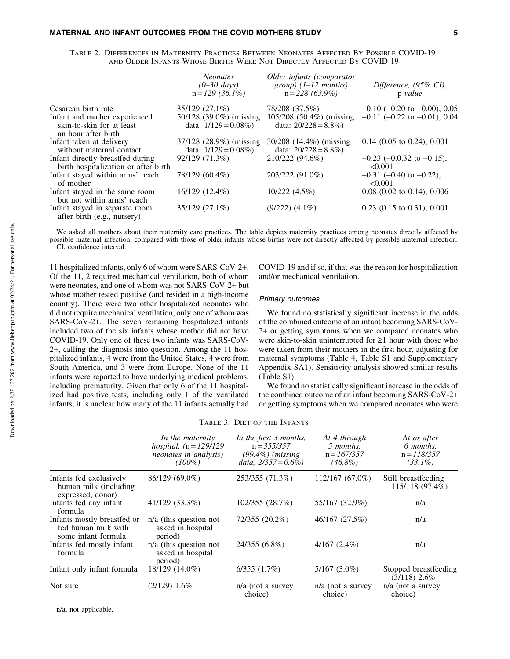|                                                                                   | <i>Neonates</i><br>$(0-30 \text{ days})$<br>$n = 129$ (36.1%) | Older infants (comparator<br>$group)$ (1–12 months)<br>$n=228(63.9\%)$ | Difference, (95% CI),<br>$p-value$           |
|-----------------------------------------------------------------------------------|---------------------------------------------------------------|------------------------------------------------------------------------|----------------------------------------------|
| Cesarean birth rate                                                               | 35/129 (27.1%)                                                | 78/208 (37.5%)                                                         | $-0.10$ ( $-0.20$ to $-0.00$ ), 0.05         |
| Infant and mother experienced<br>skin-to-skin for at least<br>an hour after birth | 50/128 (39.0%) (missing<br>data: $1/129 = 0.08\%)$            | 105/208 (50.4%) (missing<br>data: $20/228 = 8.8\%)$                    | $-0.11$ ( $-0.22$ to $-0.01$ ), 0.04         |
| Infant taken at delivery<br>without maternal contact                              | 37/128 (28.9%) (missing<br>data: $1/129 = 0.08\%)$            | $30/208$ (14.4%) (missing<br>data: $20/228 = 8.8\%)$                   | $0.14$ (0.05 to 0.24), 0.001                 |
| Infant directly breastfed during<br>birth hospitalization or after birth          | 92/129 (71.3%)                                                | 210/222 (94.6%)                                                        | $-0.23$ ( $-0.0.32$ to $-0.15$ ),<br>< 0.001 |
| Infant stayed within arms' reach<br>of mother                                     | 78/129 (60.4%)                                                | 203/222 (91.0%)                                                        | $-0.31$ (-0.40 to -0.22),<br>$\leq 0.001$    |
| Infant stayed in the same room<br>but not within arms' reach                      | 16/129 (12.4%)                                                | 10/222(4.5%)                                                           | $0.08$ (0.02 to 0.14), 0.006                 |
| Infant stayed in separate room<br>after birth (e.g., nursery)                     | 35/129 (27.1%)                                                | $(9/222)$ $(4.1\%)$                                                    | $0.23$ (0.15 to 0.31), 0.001                 |

Table 2. Differences in Maternity Practices Between Neonates Affected By Possible COVID-19 and Older Infants Whose Births Were Not Directly Affected By COVID-19

We asked all mothers about their maternity care practices. The table depicts maternity practices among neonates directly affected by possible maternal infection, compared with those of older infants whose births were not directly affected by possible maternal infection. CI, confidence interval.

11 hospitalized infants, only 6 of whom were SARS-CoV-2+. Of the 11, 2 required mechanical ventilation, both of whom were neonates, and one of whom was not SARS-CoV-2+ but whose mother tested positive (and resided in a high-income country). There were two other hospitalized neonates who did not require mechanical ventilation, only one of whom was SARS-CoV-2+. The seven remaining hospitalized infants included two of the six infants whose mother did not have COVID-19. Only one of these two infants was SARS-CoV-2+, calling the diagnosis into question. Among the 11 hospitalized infants, 4 were from the United States, 4 were from South America, and 3 were from Europe. None of the 11 infants were reported to have underlying medical problems, including prematurity. Given that only 6 of the 11 hospitalized had positive tests, including only 1 of the ventilated infants, it is unclear how many of the 11 infants actually had COVID-19 and if so, if that was the reason for hospitalization and/or mechanical ventilation.

#### Primary outcomes

We found no statistically significant increase in the odds of the combined outcome of an infant becoming SARS-CoV-2+ or getting symptoms when we compared neonates who were skin-to-skin uninterrupted for  $\geq 1$  hour with those who were taken from their mothers in the first hour, adjusting for maternal symptoms (Table 4, Table S1 and Supplementary Appendix SA1). Sensitivity analysis showed similar results (Table S1).

We found no statistically significant increase in the odds of the combined outcome of an infant becoming SARS-CoV-2+ or getting symptoms when we compared neonates who were

|                                                                           | In the maternity<br>hospital, $(n = 129/129)$<br>neonates in analysis)<br>$(100\%)$ | In the first 3 months,<br>$n = 355/357$<br>$(99.4\%)$ (missing)<br>data, $2/357 = 0.6\%$ ) | At 4 through<br>5 months,<br>$n = 167/357$<br>$(46.8\%)$ | At or after<br>6 months,<br>$n = 118/357$<br>$(33.1\%)$ |
|---------------------------------------------------------------------------|-------------------------------------------------------------------------------------|--------------------------------------------------------------------------------------------|----------------------------------------------------------|---------------------------------------------------------|
| Infants fed exclusively<br>human milk (including<br>expressed, donor)     | 86/129 (69.0%)                                                                      | 253/355 (71.3%)                                                                            | 112/167 (67.0%)                                          | Still breastfeeding<br>$115/118(97.4\%)$                |
| Infants fed any infant<br>formula                                         | 41/129 (33.3%)                                                                      | 102/355 (28.7%)                                                                            | 55/167 (32.9%)                                           | n/a                                                     |
| Infants mostly breastfed or<br>fed human milk with<br>some infant formula | $n/a$ (this question not<br>asked in hospital<br>period)                            | 72/355 (20.2%)                                                                             | 46/167 (27.5%)                                           | n/a                                                     |
| Infants fed mostly infant<br>formula                                      | $n/a$ (this question not<br>asked in hospital<br>period)                            | 24/355 (6.8%)                                                                              | $4/167(2.4\%)$                                           | n/a                                                     |
| Infant only infant formula                                                | 18/129 (14.0%)                                                                      | 6/355(1.7%)                                                                                | $5/167(3.0\%)$                                           | Stopped breastfeeding<br>$(3/118)$ 2.6%                 |
| Not sure                                                                  | $(2/129)$ 1.6%                                                                      | $n/a$ (not a survey<br>choice)                                                             | $n/a$ (not a survey<br>choice)                           | $n/a$ (not a survey<br>choice)                          |

Table 3. Diet of the Infants

n/a, not applicable.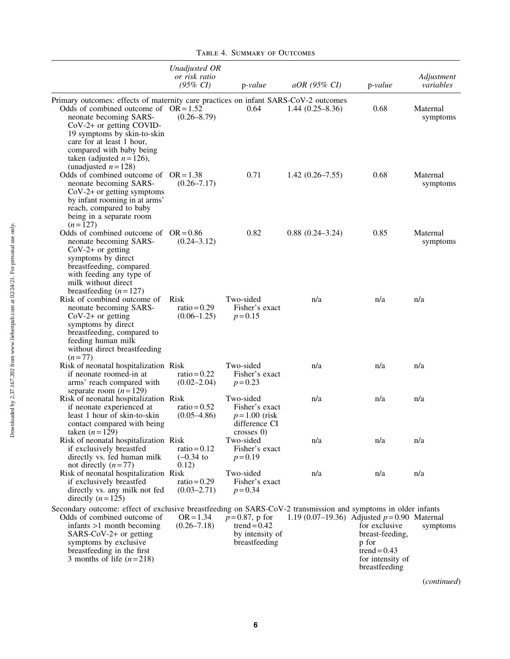|                                                                                                                                                                                                                                                                                                                | Unadjusted OR<br>or risk ratio<br>$(95\% \; CI)$ | $p-value$                                                                      | aOR (95% CI)                                 | p-value                                                                                          | Adjustment<br>variables |
|----------------------------------------------------------------------------------------------------------------------------------------------------------------------------------------------------------------------------------------------------------------------------------------------------------------|--------------------------------------------------|--------------------------------------------------------------------------------|----------------------------------------------|--------------------------------------------------------------------------------------------------|-------------------------|
| Primary outcomes: effects of maternity care practices on infant SARS-CoV-2 outcomes<br>Odds of combined outcome of $OR = 1.52$<br>neonate becoming SARS-<br>$CoV-2+$ or getting COVID-<br>19 symptoms by skin-to-skin<br>care for at least 1 hour,<br>compared with baby being<br>taken (adjusted $n = 126$ ), | $(0.26 - 8.79)$                                  | 0.64                                                                           | $1.44(0.25-8.36)$                            | 0.68                                                                                             | Maternal<br>symptoms    |
| (unadjusted $n = 128$ )<br>Odds of combined outcome of $OR = 1.38$<br>neonate becoming SARS-<br>$CoV-2+$ or getting symptoms<br>by infant rooming in at arms'<br>reach, compared to baby<br>being in a separate room<br>$(n=127)$                                                                              | $(0.26 - 7.17)$                                  | 0.71                                                                           | $1.42(0.26 - 7.55)$                          | 0.68                                                                                             | Maternal<br>symptoms    |
| Odds of combined outcome of $OR = 0.86$<br>neonate becoming SARS-<br>$CoV-2+$ or getting<br>symptoms by direct<br>breastfeeding, compared<br>with feeding any type of<br>milk without direct<br>breastfeeding $(n=127)$                                                                                        | $(0.24 - 3.12)$                                  | 0.82                                                                           | $0.88(0.24 - 3.24)$                          | 0.85                                                                                             | Maternal<br>symptoms    |
| Risk of combined outcome of<br>neonate becoming SARS-<br>$CoV-2+$ or getting<br>symptoms by direct<br>breastfeeding, compared to<br>feeding human milk<br>without direct breastfeeding<br>$(n=77)$                                                                                                             | Risk<br>$ratio = 0.29$<br>$(0.06 - 1.25)$        | Two-sided<br>Fisher's exact<br>$p = 0.15$                                      | n/a                                          | n/a                                                                                              | n/a                     |
| Risk of neonatal hospitalization Risk<br>if neonate roomed-in at<br>arms' reach compared with<br>separate room $(n=129)$                                                                                                                                                                                       | ratio = $0.22$<br>$(0.02 - 2.04)$                | Two-sided<br>Fisher's exact<br>$p = 0.23$                                      | n/a                                          | n/a                                                                                              | n/a                     |
| Risk of neonatal hospitalization Risk<br>if neonate experienced at<br>least 1 hour of skin-to-skin<br>contact compared with being<br>taken $(n = 129)$                                                                                                                                                         | ratio = $0.52$<br>$(0.05 - 4.86)$                | Two-sided<br>Fisher's exact<br>$p = 1.00$ (risk<br>difference CI<br>crosses 0) | n/a                                          | n/a                                                                                              | n/a                     |
| Risk of neonatal hospitalization Risk<br>if exclusively breastfed<br>directly vs. fed human milk<br>not directly $(n=77)$                                                                                                                                                                                      | ratio = $0.12$<br>$(-0.34)$ to<br>0.12)          | Two-sided<br>Fisher's exact<br>$p = 0.19$                                      | n/a                                          | n/a                                                                                              | n/a                     |
| Risk of neonatal hospitalization Risk<br>if exclusively breastfed<br>directly vs. any milk not fed<br>directly $(n=125)$                                                                                                                                                                                       | ratio = $0.29$<br>$(0.03 - 2.71)$                | Two-sided<br>Fisher's exact<br>$p = 0.34$                                      | n/a                                          | n/a                                                                                              | n/a                     |
| Secondary outcome: effect of exclusive breastfeeding on SARS-CoV-2 transmission and symptoms in older infants<br>Odds of combined outcome of<br>$in$ fants $>1$ month becoming<br>SARS-CoV-2+ or getting<br>symptoms by exclusive<br>breastfeeding in the first<br>3 months of life $(n=218)$                  | $OR = 1.34$<br>$(0.26 - 7.18)$                   | $p = 0.87$ , p for<br>trend = $0.42$<br>by intensity of<br>breastfeeding       | 1.19 (0.07–19.36) Adjusted $p=0.90$ Maternal | for exclusive<br>breast-feeding,<br>p for<br>trend = $0.43$<br>for intensity of<br>breastfeeding | symptoms<br>(continued) |

Table 4. Summary of Outcomes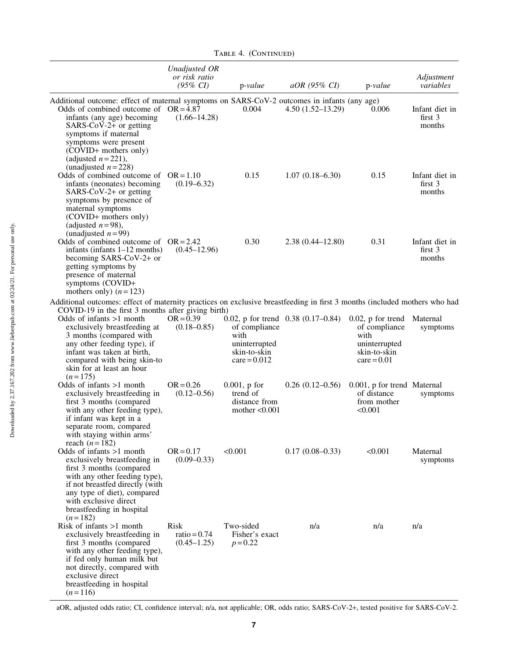|                                                                                                                                                                                                                                                                                                     | Unadjusted OR                                    |                                                                          |                                      |                                                                                                 |                                                |
|-----------------------------------------------------------------------------------------------------------------------------------------------------------------------------------------------------------------------------------------------------------------------------------------------------|--------------------------------------------------|--------------------------------------------------------------------------|--------------------------------------|-------------------------------------------------------------------------------------------------|------------------------------------------------|
|                                                                                                                                                                                                                                                                                                     | or risk ratio<br>$(95\% \; CI)$                  | $p-value$                                                                | $aOR$ (95% CI)                       | $p-value$                                                                                       | Adjustment<br>variables                        |
| Additional outcome: effect of maternal symptoms on SARS-CoV-2 outcomes in infants (any age)<br>Odds of combined outcome of $OR = 4.87$<br>infants (any age) becoming<br>SARS- $CoV-2+$ or getting<br>symptoms if maternal<br>symptoms were present<br>(COVID+ mothers only)<br>(adjusted $n=221$ ), | $(1.66 - 14.28)$                                 | 0.004                                                                    | $4.50(1.52-13.29)$                   | 0.006                                                                                           | Infant diet in<br>first $3$<br>months          |
| (unadjusted $n=228$ )<br>Odds of combined outcome of $OR = 1.10$<br>infants (neonates) becoming<br>$SARS-CoV-2+$ or getting<br>symptoms by presence of<br>maternal symptoms<br>(COVID+ mothers only)<br>(adjusted $n=98$ ),                                                                         | $(0.19 - 6.32)$                                  | 0.15                                                                     | $1.07(0.18 - 6.30)$                  | 0.15                                                                                            | Infant diet in<br>first $3$<br>months          |
| (unadjusted $n=99$ )<br>Odds of combined outcome of $OR = 2.42$<br>infants (infants $1-12$ months)<br>becoming SARS-CoV-2+ or<br>getting symptoms by<br>presence of maternal<br>symptoms (COVID+<br>mothers only) $(n=123)$                                                                         | $(0.45 - 12.96)$                                 | 0.30                                                                     | $2.38(0.44 - 12.80)$                 | 0.31                                                                                            | Infant diet in<br>first <sub>3</sub><br>months |
| Additional outcomes: effect of maternity practices on exclusive breastfeeding in first 3 months (included mothers who had                                                                                                                                                                           |                                                  |                                                                          |                                      |                                                                                                 |                                                |
| COVID-19 in the first 3 months after giving birth)<br>Odds of infants $>1$ month<br>exclusively breastfeeding at<br>3 months (compared with<br>any other feeding type), if<br>infant was taken at birth,<br>compared with being skin-to<br>skin for at least an hour<br>$(n=175)$                   | $OR = 0.39$<br>$(0.18 - 0.85)$                   | of compliance<br>with<br>uninterrupted<br>skin-to-skin<br>$care = 0.012$ | 0.02, p for trend $0.38$ (0.17–0.84) | $0.02$ , p for trend<br>of compliance<br>with<br>uninterrupted<br>skin-to-skin<br>$care = 0.01$ | Maternal<br>symptoms                           |
| Odds of infants $>1$ month<br>exclusively breastfeeding in<br>first 3 months (compared<br>with any other feeding type),<br>if infant was kept in a<br>separate room, compared<br>with staying within arms'                                                                                          | $OR = 0.26$<br>$(0.12 - 0.56)$                   | $0.001$ , p for<br>trend of<br>distance from<br>mother $< 0.001$         | $0.26(0.12-0.56)$                    | 0.001, p for trend Maternal<br>of distance<br>from mother<br>< 0.001                            | symptoms                                       |
| reach $(n=182)$<br>Odds of infants >1 month<br>exclusively breastfeeding in<br>first 3 months (compared<br>with any other feeding type),<br>if not breastfed directly (with<br>any type of diet), compared<br>with exclusive direct<br>breastfeeding in hospital<br>$(n=182)$                       | $OR = 0.17$<br>$(0.09 - 0.33)$                   | < 0.001                                                                  | $0.17(0.08 - 0.33)$                  | < 0.001                                                                                         | Maternal<br>symptoms                           |
| Risk of infants $>1$ month<br>exclusively breastfeeding in<br>first 3 months (compared<br>with any other feeding type),<br>if fed only human milk but<br>not directly, compared with<br>exclusive direct<br>breastfeeding in hospital<br>$(n=116)$                                                  | <b>Risk</b><br>ratio = $0.74$<br>$(0.45 - 1.25)$ | Two-sided<br>Fisher's exact<br>$p = 0.22$                                | n/a                                  | n/a                                                                                             | n/a                                            |

TABLE 4. (CONTINUED)

aOR, adjusted odds ratio; CI, confidence interval; n/a, not applicable; OR, odds ratio; SARS-CoV-2+, tested positive for SARS-CoV-2.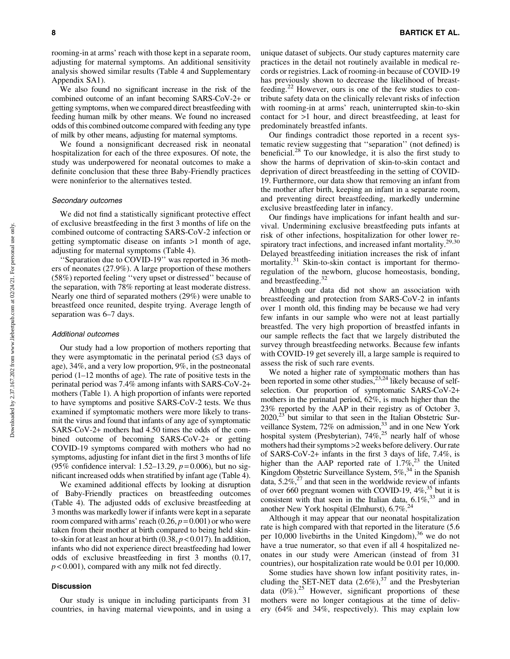rooming-in at arms' reach with those kept in a separate room, adjusting for maternal symptoms. An additional sensitivity analysis showed similar results (Table 4 and Supplementary Appendix SA1).

We also found no significant increase in the risk of the combined outcome of an infant becoming SARS-CoV-2+ or getting symptoms, when we compared direct breastfeeding with feeding human milk by other means. We found no increased odds of this combined outcome compared with feeding any type of milk by other means, adjusting for maternal symptoms.

We found a nonsignificant decreased risk in neonatal hospitalization for each of the three exposures. Of note, the study was underpowered for neonatal outcomes to make a definite conclusion that these three Baby-Friendly practices were noninferior to the alternatives tested.

# Secondary outcomes

We did not find a statistically significant protective effect of exclusive breastfeeding in the first 3 months of life on the combined outcome of contracting SARS-CoV-2 infection or getting symptomatic disease on infants >1 month of age, adjusting for maternal symptoms (Table 4).

'Separation due to COVID-19" was reported in 36 mothers of neonates (27.9%). A large proportion of these mothers (58%) reported feeling ''very upset or distressed'' because of the separation, with 78% reporting at least moderate distress. Nearly one third of separated mothers (29%) were unable to breastfeed once reunited, despite trying. Average length of separation was 6–7 days.

#### Additional outcomes

Our study had a low proportion of mothers reporting that they were asymptomatic in the perinatal period  $(\leq 3)$  days of age), 34%, and a very low proportion, 9%, in the postneonatal period (1–12 months of age). The rate of positive tests in the perinatal period was 7.4% among infants with SARS-CoV-2+ mothers (Table 1). A high proportion of infants were reported to have symptoms and positive SARS-CoV-2 tests. We thus examined if symptomatic mothers were more likely to transmit the virus and found that infants of any age of symptomatic SARS-CoV-2+ mothers had 4.50 times the odds of the combined outcome of becoming SARS-CoV-2+ or getting COVID-19 symptoms compared with mothers who had no symptoms, adjusting for infant diet in the first 3 months of life (95% confidence interval: 1.52–13.29, *p* = 0.006), but no significant increased odds when stratified by infant age (Table 4).

We examined additional effects by looking at disruption of Baby-Friendly practices on breastfeeding outcomes (Table 4). The adjusted odds of exclusive breastfeeding at 3 months was markedly lower if infants were kept in a separate room compared with arms' reach  $(0.26, p=0.001)$  or who were taken from their mother at birth compared to being held skinto-skin for at least an hour at birth  $(0.38, p < 0.017)$ . In addition, infants who did not experience direct breastfeeding had lower odds of exclusive breastfeeding in first 3 months (0.17, *p* < 0.001), compared with any milk not fed directly.

# Discussion

Our study is unique in including participants from 31 countries, in having maternal viewpoints, and in using a unique dataset of subjects. Our study captures maternity care practices in the detail not routinely available in medical records or registries. Lack of rooming-in because of COVID-19 has previously shown to decrease the likelihood of breastfeeding.<sup>22</sup> However, ours is one of the few studies to contribute safety data on the clinically relevant risks of infection with rooming-in at arms' reach, uninterrupted skin-to-skin contact for >1 hour, and direct breastfeeding, at least for predominately breastfed infants.

Our findings contradict those reported in a recent systematic review suggesting that ''separation'' (not defined) is beneficial.<sup>28</sup> To our knowledge, it is also the first study to show the harms of deprivation of skin-to-skin contact and deprivation of direct breastfeeding in the setting of COVID-19. Furthermore, our data show that removing an infant from the mother after birth, keeping an infant in a separate room, and preventing direct breastfeeding, markedly undermine exclusive breastfeeding later in infancy.

Our findings have implications for infant health and survival. Undermining exclusive breastfeeding puts infants at risk of other infections, hospitalization for other lower respiratory tract infections, and increased infant mortality.<sup>29,30</sup> Delayed breastfeeding initiation increases the risk of infant mortality.<sup>31</sup> Skin-to-skin contact is important for thermoregulation of the newborn, glucose homeostasis, bonding, and breastfeeding.<sup>32</sup>

Although our data did not show an association with breastfeeding and protection from SARS-CoV-2 in infants over 1 month old, this finding may be because we had very few infants in our sample who were not at least partially breastfed. The very high proportion of breastfed infants in our sample reflects the fact that we largely distributed the survey through breastfeeding networks. Because few infants with COVID-19 get severely ill, a large sample is required to assess the risk of such rare events.

We noted a higher rate of symptomatic mothers than has been reported in some other studies,<sup>23,24</sup> likely because of selfselection. Our proportion of symptomatic SARS-CoV-2+ mothers in the perinatal period, 62%, is much higher than the 23% reported by the AAP in their registry as of October 3,  $2020$ ,<sup>23</sup> but similar to that seen in the Italian Obstetric Surveillance System,  $72\%$  on admission, $33$  and in one New York hospital system (Presbyterian),  $74\%$ ,<sup>25</sup> nearly half of whose mothers had their symptoms >2 weeks before delivery. Our rate of SARS-CoV-2+ infants in the first 3 days of life, 7.4%, is higher than the AAP reported rate of  $1.7\%$ ,<sup>23</sup> the United Kingdom Obstetric Surveillance System,  $5\%$ <sup>34</sup> in the Spanish data,  $5.2\%$ ,  $27$  and that seen in the worldwide review of infants of over 660 pregnant women with COVID-19,  $4\%$ ,<sup>35</sup> but it is consistent with that seen in the Italian data,  $6.1\%$ <sup>33</sup> and in another New York hospital (Elmhurst),  $6.7\%^{24}$ 

Although it may appear that our neonatal hospitalization rate is high compared with that reported in the literature (5.6 per  $10,000$  livebirths in the United Kingdom),  $36$  we do not have a true numerator, so that even if all 4 hospitalized neonates in our study were American (instead of from 31 countries), our hospitalization rate would be 0.01 per 10,000.

Some studies have shown low infant positivity rates, including the SET-NET data  $(2.6\%)$ ,<sup>37</sup> and the Presbyterian data  $(0\%)$ .<sup>25</sup> However, significant proportions of these mothers were no longer contagious at the time of delivery (64% and 34%, respectively). This may explain low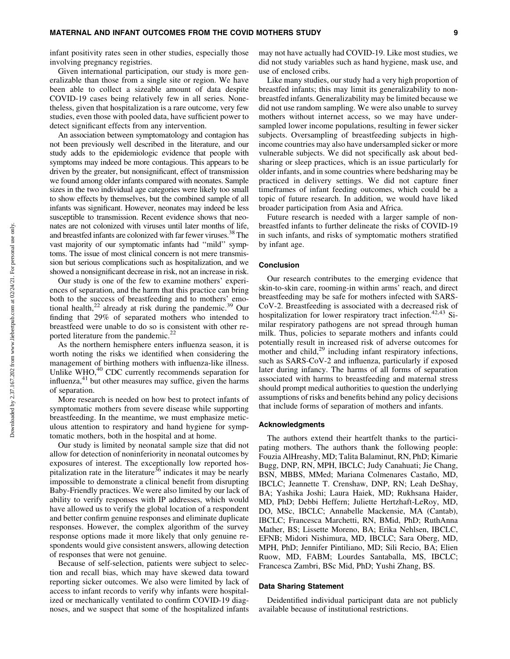infant positivity rates seen in other studies, especially those involving pregnancy registries.

Given international participation, our study is more generalizable than those from a single site or region. We have been able to collect a sizeable amount of data despite COVID-19 cases being relatively few in all series. Nonetheless, given that hospitalization is a rare outcome, very few studies, even those with pooled data, have sufficient power to detect significant effects from any intervention.

An association between symptomatology and contagion has not been previously well described in the literature, and our study adds to the epidemiologic evidence that people with symptoms may indeed be more contagious. This appears to be driven by the greater, but nonsignificant, effect of transmission we found among older infants compared with neonates. Sample sizes in the two individual age categories were likely too small to show effects by themselves, but the combined sample of all infants was significant. However, neonates may indeed be less susceptible to transmission. Recent evidence shows that neonates are not colonized with viruses until later months of life, and breastfed infants are colonized with far fewer viruses.<sup>38</sup> The vast majority of our symptomatic infants had ''mild'' symptoms. The issue of most clinical concern is not mere transmission but serious complications such as hospitalization, and we showed a nonsignificant decrease in risk, not an increase in risk.

Our study is one of the few to examine mothers' experiences of separation, and the harm that this practice can bring both to the success of breastfeeding and to mothers' emotional health, $^{22}$  already at risk during the pandemic.<sup>39</sup> Our finding that 29% of separated mothers who intended to breastfeed were unable to do so is consistent with other reported literature from the pandemic.<sup>22</sup>

As the northern hemisphere enters influenza season, it is worth noting the risks we identified when considering the management of birthing mothers with influenza-like illness. Unlike WHO,<sup>40</sup> CDC currently recommends separation for influenza, $41$  but other measures may suffice, given the harms of separation.

More research is needed on how best to protect infants of symptomatic mothers from severe disease while supporting breastfeeding. In the meantime, we must emphasize meticulous attention to respiratory and hand hygiene for symptomatic mothers, both in the hospital and at home.

Our study is limited by neonatal sample size that did not allow for detection of noninferiority in neonatal outcomes by exposures of interest. The exceptionally low reported hospitalization rate in the literature<sup>36</sup> indicates it may be nearly impossible to demonstrate a clinical benefit from disrupting Baby-Friendly practices. We were also limited by our lack of ability to verify responses with IP addresses, which would have allowed us to verify the global location of a respondent and better confirm genuine responses and eliminate duplicate responses. However, the complex algorithm of the survey response options made it more likely that only genuine respondents would give consistent answers, allowing detection of responses that were not genuine.

Because of self-selection, patients were subject to selection and recall bias, which may have skewed data toward reporting sicker outcomes. We also were limited by lack of access to infant records to verify why infants were hospitalized or mechanically ventilated to confirm COVID-19 diagnoses, and we suspect that some of the hospitalized infants may not have actually had COVID-19. Like most studies, we did not study variables such as hand hygiene, mask use, and use of enclosed cribs.

Like many studies, our study had a very high proportion of breastfed infants; this may limit its generalizability to nonbreastfed infants. Generalizability may be limited because we did not use random sampling. We were also unable to survey mothers without internet access, so we may have undersampled lower income populations, resulting in fewer sicker subjects. Oversampling of breastfeeding subjects in highincome countries may also have undersampled sicker or more vulnerable subjects. We did not specifically ask about bedsharing or sleep practices, which is an issue particularly for older infants, and in some countries where bedsharing may be practiced in delivery settings. We did not capture finer timeframes of infant feeding outcomes, which could be a topic of future research. In addition, we would have liked broader participation from Asia and Africa.

Future research is needed with a larger sample of nonbreastfed infants to further delineate the risks of COVID-19 in such infants, and risks of symptomatic mothers stratified by infant age.

#### Conclusion

Our research contributes to the emerging evidence that skin-to-skin care, rooming-in within arms' reach, and direct breastfeeding may be safe for mothers infected with SARS-CoV-2. Breastfeeding is associated with a decreased risk of hospitalization for lower respiratory tract infection.<sup>42,43</sup> Similar respiratory pathogens are not spread through human milk. Thus, policies to separate mothers and infants could potentially result in increased risk of adverse outcomes for mother and child,<sup>29</sup> including infant respiratory infections, such as SARS-CoV-2 and influenza, particularly if exposed later during infancy. The harms of all forms of separation associated with harms to breastfeeding and maternal stress should prompt medical authorities to question the underlying assumptions of risks and benefits behind any policy decisions that include forms of separation of mothers and infants.

## Acknowledgments

The authors extend their heartfelt thanks to the participating mothers. The authors thank the following people: Fouzia AlHreashy, MD; Talita Balaminut, RN, PhD; Kimarie Bugg, DNP, RN, MPH, IBCLC; Judy Canahuati; Jie Chang, BSN, MBBS, MMed; Mariana Colmenares Castaño, MD, IBCLC; Jeannette T. Crenshaw, DNP, RN; Leah DeShay, BA; Yashika Joshi; Laura Haiek, MD; Rukhsana Haider, MD, PhD; Debbi Heffern; Juliette Hertzhaft-LeRoy, MD, DO, MSc, IBCLC; Annabelle Mackensie, MA (Cantab), IBCLC; Francesca Marchetti, RN, BMid, PhD; RuthAnna Mather, BS; Lissette Moreno, BA; Erika Nehlsen, IBCLC, EFNB; Midori Nishimura, MD, IBCLC; Sara Oberg, MD, MPH, PhD; Jennifer Pintiliano, MD; Sili Recio, BA; Elien Ruow, MD, FABM; Lourdes Santaballa, MS, IBCLC; Francesca Zambri, BSc Mid, PhD; Yushi Zhang, BS.

# Data Sharing Statement

Deidentified individual participant data are not publicly available because of institutional restrictions.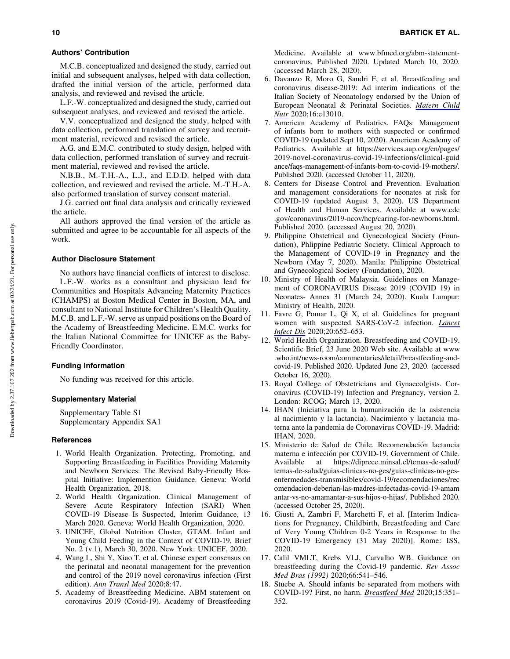#### Authors' Contribution

M.C.B. conceptualized and designed the study, carried out initial and subsequent analyses, helped with data collection, drafted the initial version of the article, performed data analysis, and reviewed and revised the article.

L.F.-W. conceptualized and designed the study, carried out subsequent analyses, and reviewed and revised the article.

V.V. conceptualized and designed the study, helped with data collection, performed translation of survey and recruitment material, reviewed and revised the article.

A.G. and E.M.C. contributed to study design, helped with data collection, performed translation of survey and recruitment material, reviewed and revised the article.

N.B.B., M.-T.H.-A., L.J., and E.D.D. helped with data collection, and reviewed and revised the article. M.-T.H.-A. also performed translation of survey consent material.

J.G. carried out final data analysis and critically reviewed the article.

All authors approved the final version of the article as submitted and agree to be accountable for all aspects of the work.

## Author Disclosure Statement

No authors have financial conflicts of interest to disclose. L.F.-W. works as a consultant and physician lead for Communities and Hospitals Advancing Maternity Practices (CHAMPS) at Boston Medical Center in Boston, MA, and consultant to National Institute for Children's Health Quality. M.C.B. and L.F.-W. serve as unpaid positions on the Board of the Academy of Breastfeeding Medicine. E.M.C. works for the Italian National Committee for UNICEF as the Baby-Friendly Coordinator.

# Funding Information

No funding was received for this article.

# Supplementary Material

Supplementary Table S1 Supplementary Appendix SA1

# **References**

- 1. World Health Organization. Protecting, Promoting, and Supporting Breastfeeding in Facilities Providing Maternity and Newborn Services: The Revised Baby-Friendly Hospital Initiative: Implemention Guidance. Geneva: World Health Organization, 2018.
- 2. World Health Organization. Clinical Management of Severe Acute Respiratory Infection (SARI) When COVID-19 Disease Is Suspected, Interim Guidance, 13 March 2020. Geneva: World Health Organization, 2020.
- 3. UNICEF, Global Nutrition Cluster, GTAM. Infant and Young Child Feeding in the Context of COVID-19, Brief No. 2 (v.1), March 30, 2020. New York: UNICEF, 2020.
- 4. Wang L, Shi Y, Xiao T, et al. Chinese expert consensus on the perinatal and neonatal management for the prevention and control of the 2019 novel coronavirus infection (First edition). *[Ann Transl Med](https://www.liebertpub.com/action/showLinks?pmid=32154287&crossref=10.21037%2Fatm.2020.02.20&citationId=p_25)* 2020;8:47.
- 5. Academy of Breastfeeding Medicine. ABM statement on coronavirus 2019 (Covid-19). Academy of Breastfeeding

Medicine. Available at [www.bfmed.org/abm-statement](http://www.bfmed.org/abm-statement-coronavirus)[coronavirus](http://www.bfmed.org/abm-statement-coronavirus). Published 2020. Updated March 10, 2020. (accessed March 28, 2020).

- 6. Davanzo R, Moro G, Sandri F, et al. Breastfeeding and coronavirus disease-2019: Ad interim indications of the Italian Society of Neonatology endorsed by the Union of European Neonatal & Perinatal Societies. *[Matern Child](https://www.liebertpub.com/action/showLinks?pmid=32243068&crossref=10.1111%2Fmcn.13010&citationId=p_27) [Nutr](https://www.liebertpub.com/action/showLinks?pmid=32243068&crossref=10.1111%2Fmcn.13010&citationId=p_27)* 2020;16:e13010.
- 7. American Academy of Pediatrics. FAQs: Management of infants born to mothers with suspected or confirmed COVID-19 (updated Sept 10, 2020). American Academy of Pediatrics. Available at [https://services.aap.org/en/pages/](https://services.aap.org/en/pages/2019-novel-coronavirus-covid-19-infections/clinical-guidance/faqs-management-of-infants-born-to-covid-19-mothers/) [2019-novel-coronavirus-covid-19-infections/clinical-guid](https://services.aap.org/en/pages/2019-novel-coronavirus-covid-19-infections/clinical-guidance/faqs-management-of-infants-born-to-covid-19-mothers/) [ance/faqs-management-of-infants-born-to-covid-19-mothers/.](https://services.aap.org/en/pages/2019-novel-coronavirus-covid-19-infections/clinical-guidance/faqs-management-of-infants-born-to-covid-19-mothers/) Published 2020. (accessed October 11, 2020).
- 8. Centers for Disease Control and Prevention. Evaluation and management considerations for neonates at risk for COVID-19 (updated August 3, 2020). US Department of Health and Human Services. Available at [www.cdc](http://www.cdc.gov/coronavirus/2019-ncov/hcp/caring-for-newborns.html) [.gov/coronavirus/2019-ncov/hcp/caring-for-newborns.html.](http://www.cdc.gov/coronavirus/2019-ncov/hcp/caring-for-newborns.html) Published 2020. (accessed August 20, 2020).
- 9. Philippine Obstetrical and Gynecological Society (Foundation), Phlippine Pediatric Society. Clinical Approach to the Management of COVID-19 in Pregnancy and the Newborn (May 7, 2020). Manila: Philippine Obstetrical and Gynecological Society (Foundation), 2020.
- 10. Ministry of Health of Malaysia. Guidelines on Management of CORONAVIRUS Disease 2019 (COVID 19) in Neonates- Annex 31 (March 24, 2020). Kuala Lumpur: Ministry of Health, 2020.
- 11. Favre G, Pomar L, Qi X, et al. Guidelines for pregnant women with suspected SARS-CoV-2 infection. *[Lancet](https://www.liebertpub.com/action/showLinks?pmid=32142639&crossref=10.1016%2FS1473-3099%2820%2930157-2&citationId=p_32) [Infect Dis](https://www.liebertpub.com/action/showLinks?pmid=32142639&crossref=10.1016%2FS1473-3099%2820%2930157-2&citationId=p_32)* 2020;20:652–653.
- 12. World Health Organization. Breastfeeding and COVID-19. Scientific Brief, 23 June 2020 Web site. Available at [www](http://www.who.int/news-room/commentaries/detail/breastfeeding-and-covid-19) [.who.int/news-room/commentaries/detail/breastfeeding-and](http://www.who.int/news-room/commentaries/detail/breastfeeding-and-covid-19)[covid-19.](http://www.who.int/news-room/commentaries/detail/breastfeeding-and-covid-19) Published 2020. Updated June 23, 2020. (accessed October 16, 2020).
- 13. Royal College of Obstetricians and Gynaecolgists. Coronavirus (COVID-19) Infection and Pregnancy, version 2. London: RCOG; March 13, 2020.
- 14. IHAN (Iniciativa para la humanización de la asistencia al nacimiento y la lactancia). Nacimiento y lactancia materna ante la pandemia de Coronavirus COVID-19. Madrid: IHAN, 2020.
- 15. Ministerio de Salud de Chile. Recomendación lactancia materna e infección por COVID-19. Government of Chile. Available at [https://diprece.minsal.cl/temas-de-salud/](https://diprece.minsal.cl/temas-de-salud/temas-de-salud/guias-clinicas-no-ges/guias-clinicas-no-ges-enfermedades-transmisibles/covid-19/recomendaciones/recomendacion-deberian-las-madres-infectadas-covid-19-amamantar-vs-no-amamantar-a-sus-hijos-o-hijas/) [temas-de-salud/guias-clinicas-no-ges/guias-clinicas-no-ges](https://diprece.minsal.cl/temas-de-salud/temas-de-salud/guias-clinicas-no-ges/guias-clinicas-no-ges-enfermedades-transmisibles/covid-19/recomendaciones/recomendacion-deberian-las-madres-infectadas-covid-19-amamantar-vs-no-amamantar-a-sus-hijos-o-hijas/)[enfermedades-transmisibles/covid-19/recomendaciones/rec](https://diprece.minsal.cl/temas-de-salud/temas-de-salud/guias-clinicas-no-ges/guias-clinicas-no-ges-enfermedades-transmisibles/covid-19/recomendaciones/recomendacion-deberian-las-madres-infectadas-covid-19-amamantar-vs-no-amamantar-a-sus-hijos-o-hijas/) [omendacion-deberian-las-madres-infectadas-covid-19-amam](https://diprece.minsal.cl/temas-de-salud/temas-de-salud/guias-clinicas-no-ges/guias-clinicas-no-ges-enfermedades-transmisibles/covid-19/recomendaciones/recomendacion-deberian-las-madres-infectadas-covid-19-amamantar-vs-no-amamantar-a-sus-hijos-o-hijas/) [antar-vs-no-amamantar-a-sus-hijos-o-hijas/.](https://diprece.minsal.cl/temas-de-salud/temas-de-salud/guias-clinicas-no-ges/guias-clinicas-no-ges-enfermedades-transmisibles/covid-19/recomendaciones/recomendacion-deberian-las-madres-infectadas-covid-19-amamantar-vs-no-amamantar-a-sus-hijos-o-hijas/) Published 2020. (accessed October 25, 2020).
- 16. Giusti A, Zambri F, Marchetti F, et al. [Interim Indications for Pregnancy, Childbirth, Breastfeeding and Care of Very Young Children 0-2 Years in Response to the COVID-19 Emergency (31 May 2020)]. Rome: ISS, 2020.
- 17. Calil VMLT, Krebs VLJ, Carvalho WB. Guidance on breastfeeding during the Covid-19 pandemic. *Rev Assoc Med Bras (1992)* 2020;66:541–546.
- 18. Stuebe A. Should infants be separated from mothers with COVID-19? First, no harm. *[Breastfeed Med](https://www.liebertpub.com/action/showLinks?system=10.1089%2Fbfm.2020.29153.ams&citationId=p_39)* 2020;15:351– 352.